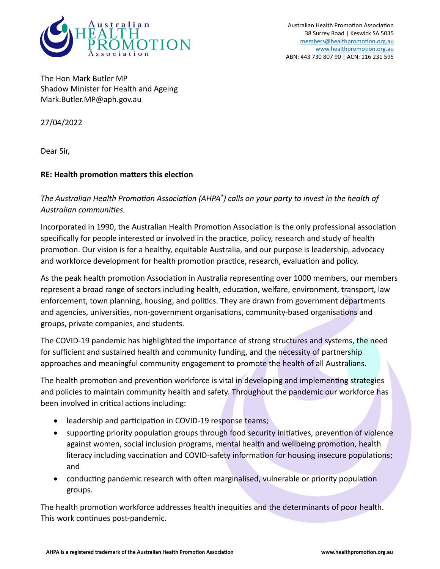

Australian Health Promotion Association 38 Surrey Road | Keswick SA 5035 [members@healthpromotion.org.au](mailto:members@healthpromotion.org.au) [www.healthpromotion.org.au](http://www.healthpromotion.org.au/) ABN: 443 730 807 90 | ACN: 116 231 595

The [Hon Mark Butler MP](https://parlinfo.aph.gov.au/parlInfo/search/display/display.w3p;query=Id%3A%22handbook%2Fallmps%2FHWK%22) Shadow Minister for Health and Ageing Mark.Butler.MP@aph.gov.au

27/04/2022

Dear Sir,

## **RE: Health promotion matters this election**

*The Australian Health Promotion Association (AHPA® ) calls on your party to invest in the health of Australian communities.* 

Incorporated in 1990, the Australian Health Promotion Association is the only professional association specifically for people interested or involved in the practice, policy, research and study of health promotion. Our vision is for a healthy, equitable Australia, and our purpose is leadership, advocacy and workforce development for health promotion practice, research, evaluation and policy.

As the peak health promotion Association in Australia representing over 1000 members, our members represent a broad range of sectors including health, education, welfare, environment, transport, law enforcement, town planning, housing, and politics. They are drawn from government departments and agencies, universities, non-government organisations, community-based organisations and groups, private companies, and students.

The COVID-19 pandemic has highlighted the importance of strong structures and systems, the need for sufficient and sustained health and community funding, and the necessity of partnership approaches and meaningful community engagement to promote the health of all Australians.

The health promotion and prevention workforce is vital in developing and implementing strategies and policies to maintain community health and safety. Throughout the pandemic our workforce has been involved in critical actions including:

- leadership and participation in COVID-19 response teams;
- supporting priority population groups through food security initiatives, prevention of violence against women, social inclusion programs, mental health and wellbeing promotion, health literacy including vaccination and COVID-safety information for housing insecure populations; and
- conducting pandemic research with often marginalised, vulnerable or priority population groups.

The health promotion workforce addresses health inequities and the determinants of poor health. This work continues post-pandemic.